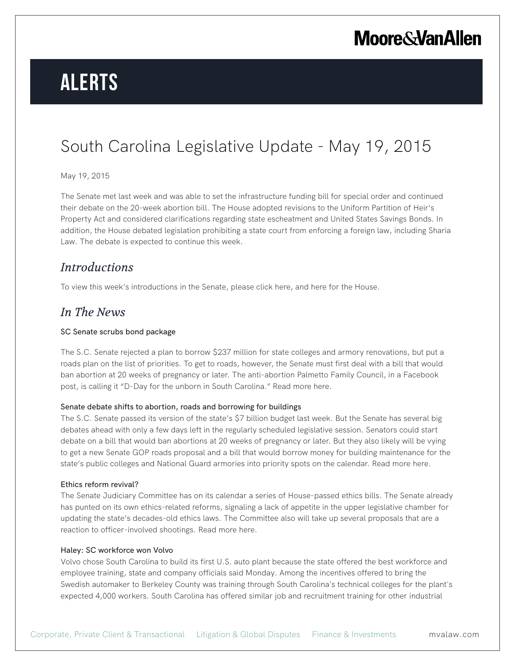# **Alerts**

### South Carolina Legislative Update - May 19, 2015

#### May 19, 2015

The Senate met last week and was able to set the infrastructure funding bill for special order and continued their debate on the 20-week abortion bill. The House adopted revisions to the Uniform Partition of Heir's Property Act and considered clarifications regarding state escheatment and United States Savings Bonds. In addition, the House debated legislation prohibiting a state court from enforcing a foreign law, including Sharia Law. The debate is expected to continue this week.

### *Introductions*

To view this week's introductions in the Senate, please click here, and here for the House.

### *In The News*

#### SC Senate scrubs bond package

The S.C. Senate rejected a plan to borrow \$237 million for state colleges and armory renovations, but put a roads plan on the list of priorities. To get to roads, however, the Senate must first deal with a bill that would ban abortion at 20 weeks of pregnancy or later. The anti-abortion Palmetto Family Council, in a Facebook post, is calling it "D-Day for the unborn in South Carolina." Read more here.

#### Senate debate shifts to abortion, roads and borrowing for buildings

The S.C. Senate passed its version of the state's \$7 billion budget last week. But the Senate has several big debates ahead with only a few days left in the regularly scheduled legislative session. Senators could start debate on a bill that would ban abortions at 20 weeks of pregnancy or later. But they also likely will be vying to get a new Senate GOP roads proposal and a bill that would borrow money for building maintenance for the state's public colleges and National Guard armories into priority spots on the calendar. Read more here.

#### Ethics reform revival?

The Senate Judiciary Committee has on its calendar a series of House-passed ethics bills. The Senate already has punted on its own ethics-related reforms, signaling a lack of appetite in the upper legislative chamber for updating the state's decades-old ethics laws. The Committee also will take up several proposals that are a reaction to officer-involved shootings. Read more here.

#### Haley: SC workforce won Volvo

Volvo chose South Carolina to build its first U.S. auto plant because the state offered the best workforce and employee training, state and company officials said Monday. Among the incentives offered to bring the Swedish automaker to Berkeley County was training through South Carolina's technical colleges for the plant's expected 4,000 workers. South Carolina has offered similar job and recruitment training for other industrial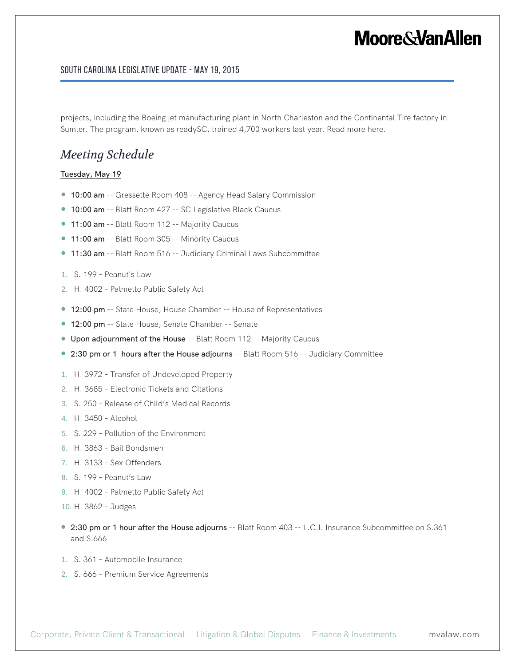#### South Carolina Legislative Update - May 19, 2015

projects, including the Boeing jet manufacturing plant in North Charleston and the Continental Tire factory in Sumter. The program, known as readySC, trained 4,700 workers last year. Read more here.

### *Meeting Schedule*

#### Tuesday, May 19

- 10:00 am -- Gressette Room 408 -- Agency Head Salary Commission
- 10:00 am -- Blatt Room 427 -- SC Legislative Black Caucus
- 11:00 am -- Blatt Room 112 -- Majority Caucus
- 11:00 am -- Blatt Room 305 -- Minority Caucus
- 11:30 am -- Blatt Room 516 -- Judiciary Criminal Laws Subcommittee
- 1. S. 199 Peanut's Law
- 2. H. 4002 Palmetto Public Safety Act
- 12:00 pm -- State House, House Chamber -- House of Representatives
- 12:00 pm -- State House, Senate Chamber -- Senate
- Upon adjournment of the House -- Blatt Room 112 -- Majority Caucus
- 2:30 pm or 1 hours after the House adjourns -- Blatt Room 516 -- Judiciary Committee
- 1. H. 3972 Transfer of Undeveloped Property
- 2. H. 3685 Electronic Tickets and Citations
- 3. S. 250 Release of Child's Medical Records
- 4. H. 3450 Alcohol
- 5. S. 229 Pollution of the Environment
- 6. H. 3863 Bail Bondsmen
- 7. H. 3133 Sex Offenders
- 8. S. 199 Peanut's Law
- 9. H. 4002 Palmetto Public Safety Act
- 10. H. 3862 Judges
- 2:30 pm or 1 hour after the House adjourns -- Blatt Room 403 -- L.C.I. Insurance Subcommittee on S.361 and S.666
- 1. S. 361 Automobile Insurance
- 2. S. 666 Premium Service Agreements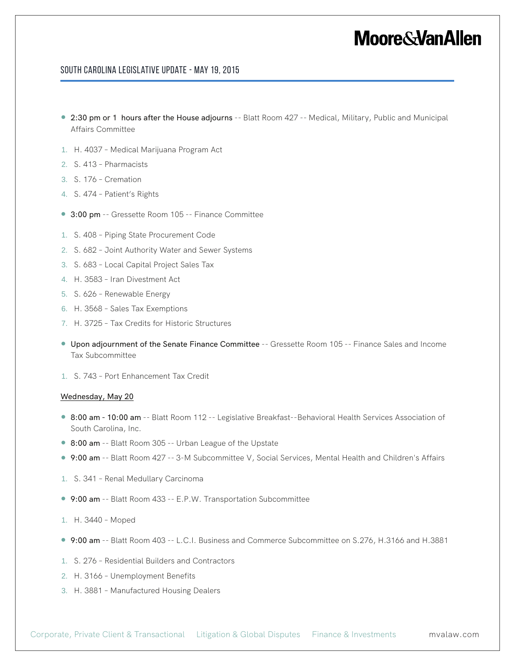#### South Carolina Legislative Update - May 19, 2015

- 2:30 pm or 1 hours after the House adjourns -- Blatt Room 427 -- Medical, Military, Public and Municipal Affairs Committee
- 1. H. 4037 Medical Marijuana Program Act
- 2. S. 413 Pharmacists
- 3. S. 176 Cremation
- 4. S. 474 Patient's Rights
- 3:00 pm -- Gressette Room 105 -- Finance Committee
- 1. S. 408 Piping State Procurement Code
- 2. S. 682 Joint Authority Water and Sewer Systems
- 3. S. 683 Local Capital Project Sales Tax
- 4. H. 3583 Iran Divestment Act
- 5. S. 626 Renewable Energy
- 6. H. 3568 Sales Tax Exemptions
- 7. H. 3725 Tax Credits for Historic Structures
- Upon adjournment of the Senate Finance Committee -- Gressette Room 105 -- Finance Sales and Income Tax Subcommittee
- 1. S. 743 Port Enhancement Tax Credit

#### Wednesday, May 20

- 8:00 am 10:00 am -- Blatt Room 112 -- Legislative Breakfast--Behavioral Health Services Association of South Carolina, Inc.
- 8:00 am -- Blatt Room 305 -- Urban League of the Upstate
- 9:00 am -- Blatt Room 427 -- 3-M Subcommittee V, Social Services, Mental Health and Children's Affairs
- 1. S. 341 Renal Medullary Carcinoma
- 9:00 am -- Blatt Room 433 -- E.P.W. Transportation Subcommittee
- 1. H. 3440 Moped
- 9:00 am -- Blatt Room 403 -- L.C.I. Business and Commerce Subcommittee on S.276, H.3166 and H.3881
- 1. S. 276 Residential Builders and Contractors
- 2. H. 3166 Unemployment Benefits
- 3. H. 3881 Manufactured Housing Dealers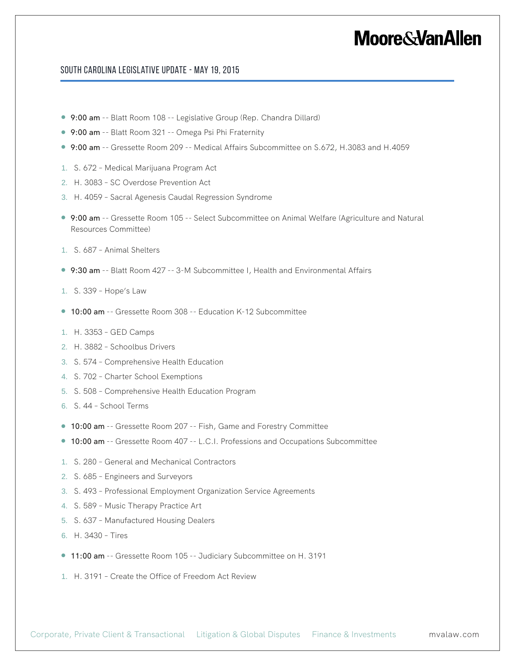#### South Carolina Legislative Update - May 19, 2015

- 9:00 am -- Blatt Room 108 -- Legislative Group (Rep. Chandra Dillard)
- 9:00 am -- Blatt Room 321 -- Omega Psi Phi Fraternity
- 9:00 am -- Gressette Room 209 -- Medical Affairs Subcommittee on S.672, H.3083 and H.4059
- 1. S. 672 Medical Marijuana Program Act
- 2. H. 3083 SC Overdose Prevention Act
- 3. H. 4059 Sacral Agenesis Caudal Regression Syndrome
- 9:00 am -- Gressette Room 105 -- Select Subcommittee on Animal Welfare (Agriculture and Natural Resources Committee)
- 1. S. 687 Animal Shelters
- 9:30 am -- Blatt Room 427 -- 3-M Subcommittee I, Health and Environmental Affairs
- 1. S. 339 Hope's Law
- 10:00 am -- Gressette Room 308 -- Education K-12 Subcommittee
- 1. H. 3353 GED Camps
- 2. H. 3882 Schoolbus Drivers
- 3. S. 574 Comprehensive Health Education
- 4. S. 702 Charter School Exemptions
- 5. S. 508 Comprehensive Health Education Program
- 6. S. 44 School Terms
- 10:00 am -- Gressette Room 207 -- Fish, Game and Forestry Committee
- 10:00 am -- Gressette Room 407 -- L.C.I. Professions and Occupations Subcommittee
- 1. S. 280 General and Mechanical Contractors
- 2. S. 685 Engineers and Surveyors
- 3. S. 493 Professional Employment Organization Service Agreements
- 4. S. 589 Music Therapy Practice Art
- 5. S. 637 Manufactured Housing Dealers
- 6. H. 3430 Tires
- 11:00 am -- Gressette Room 105 -- Judiciary Subcommittee on H. 3191
- 1. H. 3191 Create the Office of Freedom Act Review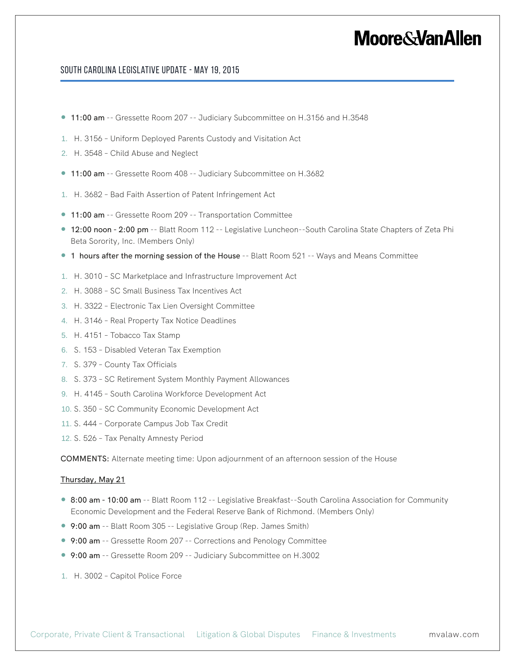#### South Carolina Legislative Update - May 19, 2015

- 11:00 am -- Gressette Room 207 -- Judiciary Subcommittee on H.3156 and H.3548
- 1. H. 3156 Uniform Deployed Parents Custody and Visitation Act
- 2. H. 3548 Child Abuse and Neglect
- 11:00 am -- Gressette Room 408 -- Judiciary Subcommittee on H.3682
- 1. H. 3682 Bad Faith Assertion of Patent Infringement Act
- 11:00 am -- Gressette Room 209 -- Transportation Committee
- 12:00 noon 2:00 pm -- Blatt Room 112 -- Legislative Luncheon--South Carolina State Chapters of Zeta Phi Beta Sorority, Inc. (Members Only)
- 1 hours after the morning session of the House -- Blatt Room 521 -- Ways and Means Committee
- 1. H. 3010 SC Marketplace and Infrastructure Improvement Act
- 2. H. 3088 SC Small Business Tax Incentives Act
- 3. H. 3322 Electronic Tax Lien Oversight Committee
- 4. H. 3146 Real Property Tax Notice Deadlines
- 5. H. 4151 Tobacco Tax Stamp
- 6. S. 153 Disabled Veteran Tax Exemption
- 7. S. 379 County Tax Officials
- 8. S. 373 SC Retirement System Monthly Payment Allowances
- 9. H. 4145 South Carolina Workforce Development Act
- 10. S. 350 SC Community Economic Development Act
- 11. S. 444 Corporate Campus Job Tax Credit
- 12. S. 526 Tax Penalty Amnesty Period

COMMENTS: Alternate meeting time: Upon adjournment of an afternoon session of the House

#### Thursday, May 21

- 8:00 am 10:00 am -- Blatt Room 112 -- Legislative Breakfast--South Carolina Association for Community Economic Development and the Federal Reserve Bank of Richmond. (Members Only)
- 9:00 am -- Blatt Room 305 -- Legislative Group (Rep. James Smith)
- 9:00 am -- Gressette Room 207 -- Corrections and Penology Committee
- 9:00 am -- Gressette Room 209 -- Judiciary Subcommittee on H.3002
- 1. H. 3002 Capitol Police Force